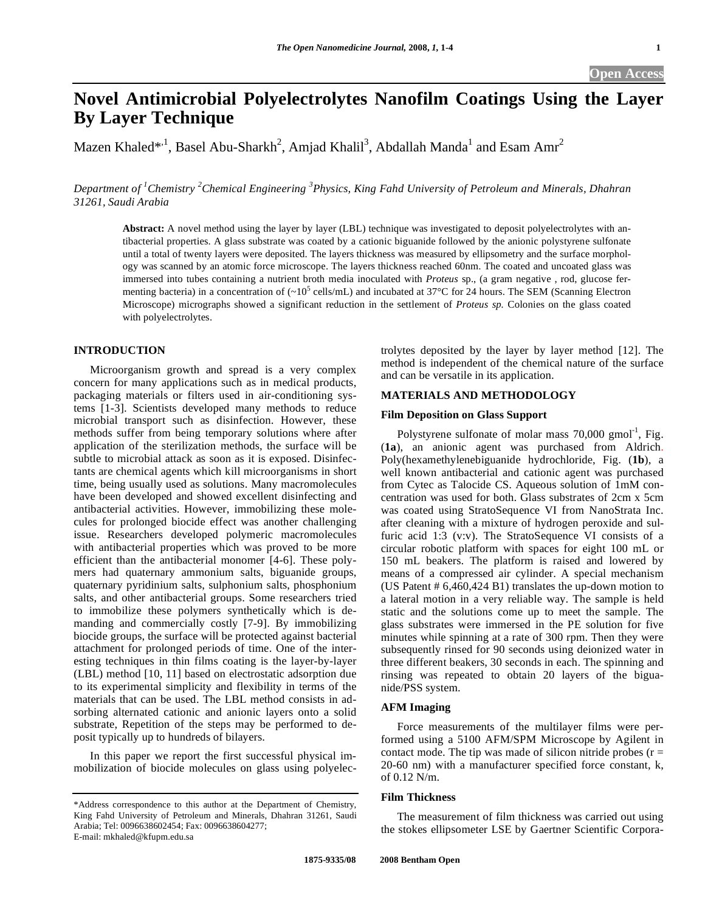# **Novel Antimicrobial Polyelectrolytes Nanofilm Coatings Using the Layer By Layer Technique**

Mazen Khaled $^{*,1}$ , Basel Abu-Sharkh<sup>2</sup>, Amjad Khalil<sup>3</sup>, Abdallah Manda<sup>1</sup> and Esam Amr<sup>2</sup>

Department of <sup>1</sup> Chemistry <sup>2</sup> Chemical Engineering <sup>3</sup> Physics, King Fahd University of Petroleum and Minerals, Dhahran *31261, Saudi Arabia* 

**Abstract:** A novel method using the layer by layer (LBL) technique was investigated to deposit polyelectrolytes with antibacterial properties. A glass substrate was coated by a cationic biguanide followed by the anionic polystyrene sulfonate until a total of twenty layers were deposited. The layers thickness was measured by ellipsometry and the surface morphology was scanned by an atomic force microscope. The layers thickness reached 60nm. The coated and uncoated glass was immersed into tubes containing a nutrient broth media inoculated with *Proteus* sp., (a gram negative , rod, glucose fermenting bacteria) in a concentration of  $\sim 10^5$  cells/mL) and incubated at 37°C for 24 hours. The SEM (Scanning Electron Microscope) micrographs showed a significant reduction in the settlement of *Proteus sp.* Colonies on the glass coated with polyelectrolytes.

# **INTRODUCTION**

 Microorganism growth and spread is a very complex concern for many applications such as in medical products, packaging materials or filters used in air-conditioning systems [1-3]. Scientists developed many methods to reduce microbial transport such as disinfection. However, these methods suffer from being temporary solutions where after application of the sterilization methods, the surface will be subtle to microbial attack as soon as it is exposed. Disinfectants are chemical agents which kill microorganisms in short time, being usually used as solutions. Many macromolecules have been developed and showed excellent disinfecting and antibacterial activities. However, immobilizing these molecules for prolonged biocide effect was another challenging issue. Researchers developed polymeric macromolecules with antibacterial properties which was proved to be more efficient than the antibacterial monomer [4-6]. These polymers had quaternary ammonium salts, biguanide groups, quaternary pyridinium salts, sulphonium salts, phosphonium salts, and other antibacterial groups. Some researchers tried to immobilize these polymers synthetically which is demanding and commercially costly [7-9]. By immobilizing biocide groups, the surface will be protected against bacterial attachment for prolonged periods of time. One of the interesting techniques in thin films coating is the layer-by-layer (LBL) method [10, 11] based on electrostatic adsorption due to its experimental simplicity and flexibility in terms of the materials that can be used. The LBL method consists in adsorbing alternated cationic and anionic layers onto a solid substrate, Repetition of the steps may be performed to deposit typically up to hundreds of bilayers.

 In this paper we report the first successful physical immobilization of biocide molecules on glass using polyelectrolytes deposited by the layer by layer method [12]. The method is independent of the chemical nature of the surface and can be versatile in its application.

# **MATERIALS AND METHODOLOGY**

#### **Film Deposition on Glass Support**

Polystyrene sulfonate of molar mass  $70,000$  gmol<sup>-1</sup>, Fig. (**1a**), an anionic agent was purchased from Aldrich. Poly(hexamethylenebiguanide hydrochloride, Fig. (**1b**), a well known antibacterial and cationic agent was purchased from Cytec as Talocide CS. Aqueous solution of 1mM concentration was used for both. Glass substrates of 2cm x 5cm was coated using StratoSequence VI from NanoStrata Inc. after cleaning with a mixture of hydrogen peroxide and sulfuric acid 1:3 (v:v). The StratoSequence VI consists of a circular robotic platform with spaces for eight 100 mL or 150 mL beakers. The platform is raised and lowered by means of a compressed air cylinder. A special mechanism (US Patent # 6,460,424 B1) translates the up-down motion to a lateral motion in a very reliable way. The sample is held static and the solutions come up to meet the sample. The glass substrates were immersed in the PE solution for five minutes while spinning at a rate of 300 rpm. Then they were subsequently rinsed for 90 seconds using deionized water in three different beakers, 30 seconds in each. The spinning and rinsing was repeated to obtain 20 layers of the biguanide/PSS system.

## **AFM Imaging**

 Force measurements of the multilayer films were performed using a 5100 AFM/SPM Microscope by Agilent in contact mode. The tip was made of silicon nitride probes  $(r =$ 20-60 nm) with a manufacturer specified force constant, k, of 0.12 N/m.

# **Film Thickness**

 The measurement of film thickness was carried out using the stokes ellipsometer LSE by Gaertner Scientific Corpora-

<sup>\*</sup>Address correspondence to this author at the Department of Chemistry, King Fahd University of Petroleum and Minerals, Dhahran 31261, Saudi Arabia; Tel: 0096638602454; Fax: 0096638604277; E-mail: mkhaled@kfupm.edu.sa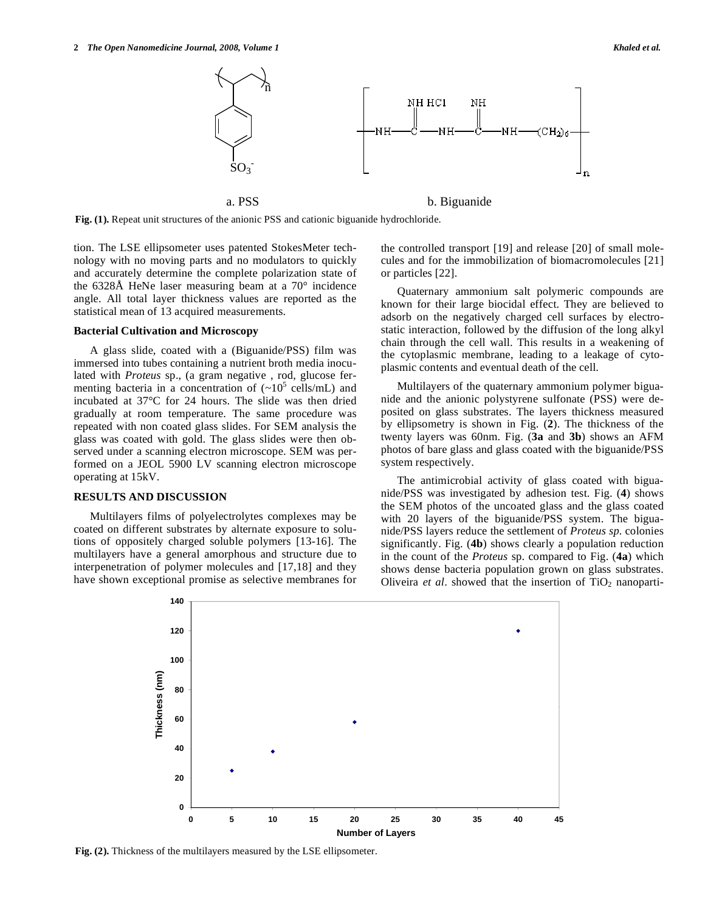

**Fig. (1).** Repeat unit structures of the anionic PSS and cationic biguanide hydrochloride.

tion. The LSE ellipsometer uses patented StokesMeter technology with no moving parts and no modulators to quickly and accurately determine the complete polarization state of the 6328Å HeNe laser measuring beam at a 70° incidence angle. All total layer thickness values are reported as the statistical mean of 13 acquired measurements.

#### **Bacterial Cultivation and Microscopy**

 A glass slide, coated with a (Biguanide/PSS) film was immersed into tubes containing a nutrient broth media inoculated with *Proteus* sp., (a gram negative , rod, glucose fermenting bacteria in a concentration of  $(-10^5 \text{ cells/mL})$  and incubated at 37°C for 24 hours. The slide was then dried gradually at room temperature. The same procedure was repeated with non coated glass slides. For SEM analysis the glass was coated with gold. The glass slides were then observed under a scanning electron microscope. SEM was performed on a JEOL 5900 LV scanning electron microscope operating at 15kV.

#### **RESULTS AND DISCUSSION**

 Multilayers films of polyelectrolytes complexes may be coated on different substrates by alternate exposure to solutions of oppositely charged soluble polymers [13-16]. The multilayers have a general amorphous and structure due to interpenetration of polymer molecules and [17,18] and they have shown exceptional promise as selective membranes for the controlled transport [19] and release [20] of small molecules and for the immobilization of biomacromolecules [21] or particles [22].

 Quaternary ammonium salt polymeric compounds are known for their large biocidal effect. They are believed to adsorb on the negatively charged cell surfaces by electrostatic interaction, followed by the diffusion of the long alkyl chain through the cell wall. This results in a weakening of the cytoplasmic membrane, leading to a leakage of cytoplasmic contents and eventual death of the cell.

 Multilayers of the quaternary ammonium polymer biguanide and the anionic polystyrene sulfonate (PSS) were deposited on glass substrates. The layers thickness measured by ellipsometry is shown in Fig. (**2**). The thickness of the twenty layers was 60nm. Fig. (**3a** and **3b**) shows an AFM photos of bare glass and glass coated with the biguanide/PSS system respectively.

 The antimicrobial activity of glass coated with biguanide/PSS was investigated by adhesion test. Fig. (**4**) shows the SEM photos of the uncoated glass and the glass coated with 20 layers of the biguanide/PSS system. The biguanide/PSS layers reduce the settlement of *Proteus sp.* colonies significantly. Fig. (**4b**) shows clearly a population reduction in the count of the *Proteus* sp. compared to Fig. (**4a**) which shows dense bacteria population grown on glass substrates. Oliveira *et al.* showed that the insertion of  $TiO<sub>2</sub>$  nanoparti-



**Fig. (2).** Thickness of the multilayers measured by the LSE ellipsometer.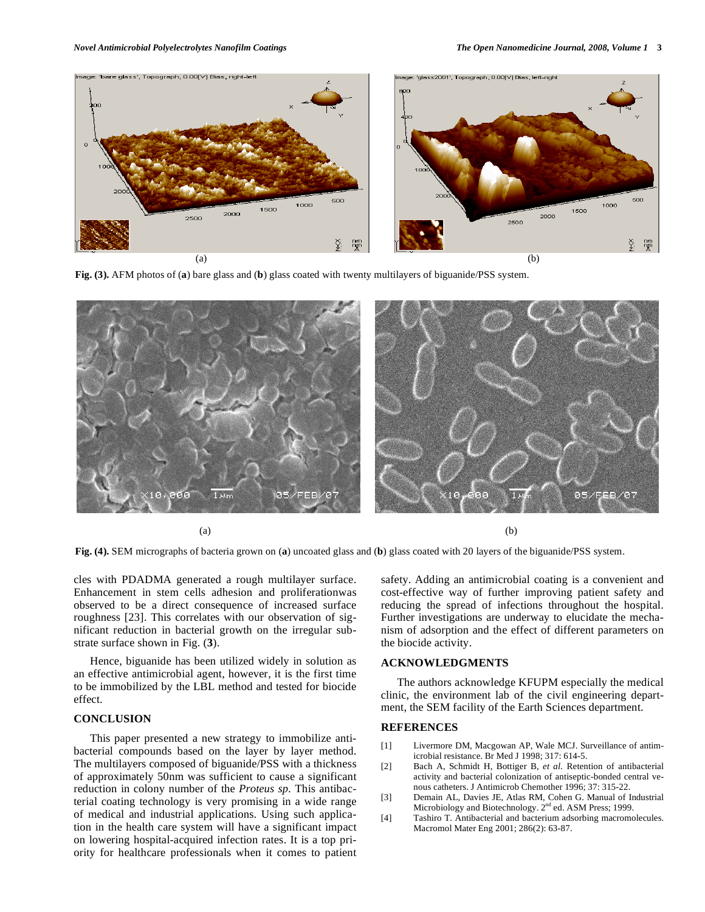

**Fig. (3).** AFM photos of (**a**) bare glass and (**b**) glass coated with twenty multilayers of biguanide/PSS system.



**Fig. (4).** SEM micrographs of bacteria grown on (**a**) uncoated glass and (**b**) glass coated with 20 layers of the biguanide/PSS system.

cles with PDADMA generated a rough multilayer surface. Enhancement in stem cells adhesion and proliferationwas observed to be a direct consequence of increased surface roughness [23]. This correlates with our observation of significant reduction in bacterial growth on the irregular substrate surface shown in Fig. (**3**).

 Hence, biguanide has been utilized widely in solution as an effective antimicrobial agent, however, it is the first time to be immobilized by the LBL method and tested for biocide effect.

# **CONCLUSION**

 This paper presented a new strategy to immobilize antibacterial compounds based on the layer by layer method. The multilayers composed of biguanide/PSS with a thickness of approximately 50nm was sufficient to cause a significant reduction in colony number of the *Proteus sp.* This antibacterial coating technology is very promising in a wide range of medical and industrial applications. Using such application in the health care system will have a significant impact on lowering hospital-acquired infection rates. It is a top priority for healthcare professionals when it comes to patient

safety. Adding an antimicrobial coating is a convenient and cost-effective way of further improving patient safety and reducing the spread of infections throughout the hospital. Further investigations are underway to elucidate the mechanism of adsorption and the effect of different parameters on the biocide activity.

## **ACKNOWLEDGMENTS**

 The authors acknowledge KFUPM especially the medical clinic, the environment lab of the civil engineering department, the SEM facility of the Earth Sciences department.

#### **REFERENCES**

- [1] Livermore DM, Macgowan AP, Wale MCJ. Surveillance of antimicrobial resistance. Br Med J 1998; 317: 614-5.
- [2] Bach A, Schmidt H, Bottiger B, *et al.* Retention of antibacterial activity and bacterial colonization of antiseptic-bonded central venous catheters. J Antimicrob Chemother 1996; 37: 315-22.
- [3] Demain AL, Davies JE, Atlas RM, Cohen G. Manual of Industrial Microbiology and Biotechnology. 2<sup>nd</sup> ed. ASM Press; 1999.
- [4] Tashiro T. Antibacterial and bacterium adsorbing macromolecules. Macromol Mater Eng 2001; 286(2): 63-87.